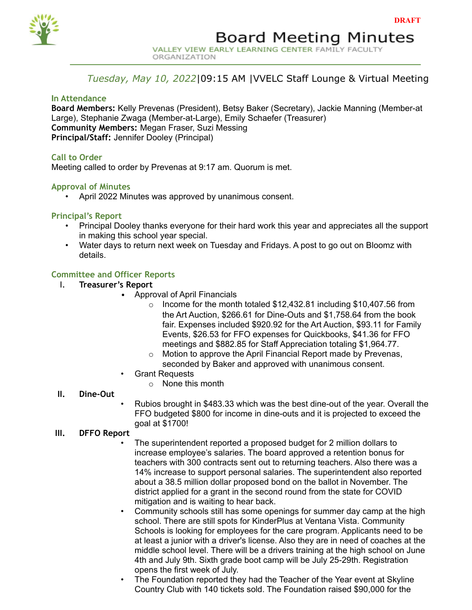

# *Tuesday, May 10, 2022*|09:15 AM |VVELC Staff Lounge & Virtual Meeting

## **In Attendance**

**Board Members:** Kelly Prevenas (President), Betsy Baker (Secretary), Jackie Manning (Member-at Large), Stephanie Zwaga (Member-at-Large), Emily Schaefer (Treasurer) **Community Members:** Megan Fraser, Suzi Messing **Principal/Staff:** Jennifer Dooley (Principal)

## **Call to Order**

Meeting called to order by Prevenas at 9:17 am. Quorum is met.

## **Approval of Minutes**

• April 2022 Minutes was approved by unanimous consent.

## **Principal's Report**

- Principal Dooley thanks everyone for their hard work this year and appreciates all the support in making this school year special.
- Water days to return next week on Tuesday and Fridays. A post to go out on Bloomz with details.

## **Committee and Officer Reports**

- I. **Treasurer's Report**
	- Approval of April Financials
		- o Income for the month totaled \$12,432.81 including \$10,407.56 from the Art Auction, \$266.61 for Dine-Outs and \$1,758.64 from the book fair. Expenses included \$920.92 for the Art Auction, \$93.11 for Family Events, \$26.53 for FFO expenses for Quickbooks, \$41.36 for FFO meetings and \$882.85 for Staff Appreciation totaling \$1,964.77.
		- o Motion to approve the April Financial Report made by Prevenas, seconded by Baker and approved with unanimous consent.
	- Grant Requests
		- o None this month

## **II. Dine-Out**

• Rubios brought in \$483.33 which was the best dine-out of the year. Overall the FFO budgeted \$800 for income in dine-outs and it is projected to exceed the goal at \$1700!

## **III. DFFO Report**

- The superintendent reported a proposed budget for 2 million dollars to increase employee's salaries. The board approved a retention bonus for teachers with 300 contracts sent out to returning teachers. Also there was a 14% increase to support personal salaries. The superintendent also reported about a 38.5 million dollar proposed bond on the ballot in November. The district applied for a grant in the second round from the state for COVID mitigation and is waiting to hear back.
- Community schools still has some openings for summer day camp at the high school. There are still spots for KinderPlus at Ventana Vista. Community Schools is looking for employees for the care program. Applicants need to be at least a junior with a driver's license. Also they are in need of coaches at the middle school level. There will be a drivers training at the high school on June 4th and July 9th. Sixth grade boot camp will be July 25-29th. Registration opens the first week of July.
- The Foundation reported they had the Teacher of the Year event at Skyline Country Club with 140 tickets sold. The Foundation raised \$90,000 for the